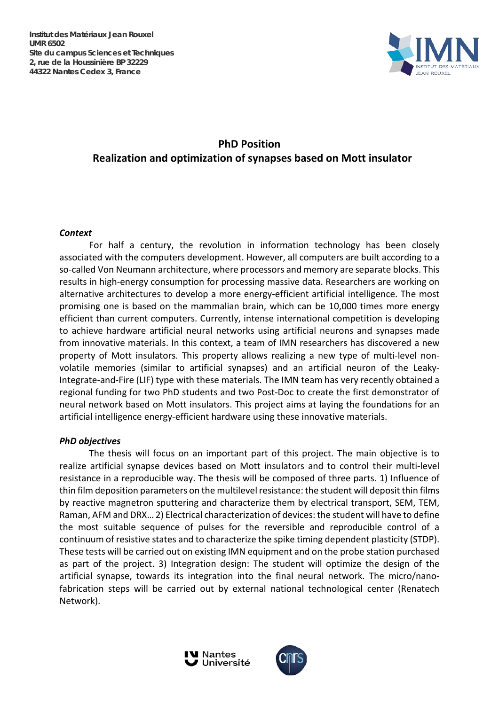

# **PhD Position Realization and optimization of synapses based on Mott insulator**

## *Context*

For half a century, the revolution in information technology has been closely associated with the computers development. However, all computers are built according to a so-called Von Neumann architecture, where processors and memory are separate blocks. This results in high-energy consumption for processing massive data. Researchers are working on alternative architectures to develop a more energy-efficient artificial intelligence. The most promising one is based on the mammalian brain, which can be 10,000 times more energy efficient than current computers. Currently, intense international competition is developing to achieve hardware artificial neural networks using artificial neurons and synapses made from innovative materials. In this context, a team of IMN researchers has discovered a new property of Mott insulators. This property allows realizing a new type of multi-level nonvolatile memories (similar to artificial synapses) and an artificial neuron of the Leaky-Integrate-and-Fire (LIF) type with these materials. The IMN team has very recently obtained a regional funding for two PhD students and two Post-Doc to create the first demonstrator of neural network based on Mott insulators. This project aims at laying the foundations for an artificial intelligence energy-efficient hardware using these innovative materials.

## *PhD objectives*

The thesis will focus on an important part of this project. The main objective is to realize artificial synapse devices based on Mott insulators and to control their multi-level resistance in a reproducible way. The thesis will be composed of three parts. 1) Influence of thin film deposition parameters on the multilevel resistance: the student will deposit thin films by reactive magnetron sputtering and characterize them by electrical transport, SEM, TEM, Raman, AFM and DRX… 2) Electrical characterization of devices: the student will have to define the most suitable sequence of pulses for the reversible and reproducible control of a continuum of resistive states and to characterize the spike timing dependent plasticity (STDP). These tests will be carried out on existing IMN equipment and on the probe station purchased as part of the project. 3) Integration design: The student will optimize the design of the artificial synapse, towards its integration into the final neural network. The micro/nanofabrication steps will be carried out by external national technological center (Renatech Network).